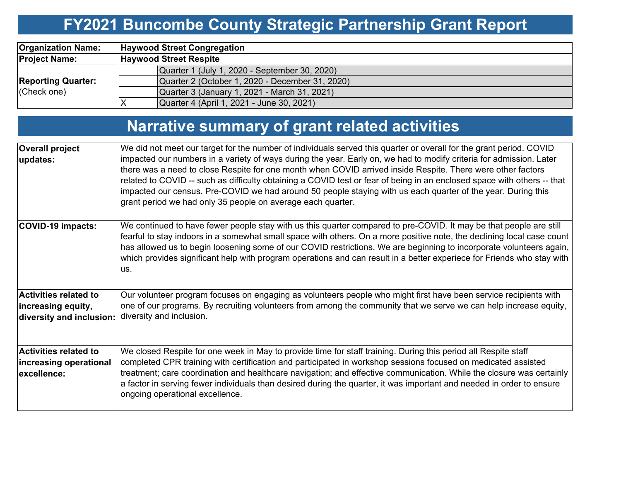# **FY2021 Buncombe County Strategic Partnership Grant Report**

| <b>Organization Name:</b>                | <b>Haywood Street Congregation</b>              |  |  |  |  |  |  |
|------------------------------------------|-------------------------------------------------|--|--|--|--|--|--|
| <b>Project Name:</b>                     | <b>Haywood Street Respite</b>                   |  |  |  |  |  |  |
|                                          | Quarter 1 (July 1, 2020 - September 30, 2020)   |  |  |  |  |  |  |
| <b>Reporting Quarter:</b><br>(Check one) | Quarter 2 (October 1, 2020 - December 31, 2020) |  |  |  |  |  |  |
|                                          | Quarter 3 (January 1, 2021 - March 31, 2021)    |  |  |  |  |  |  |
|                                          | Quarter 4 (April 1, 2021 - June 30, 2021)       |  |  |  |  |  |  |

# **Narrative summary of grant related activities**

| <b>Overall project</b><br>updates:                                             | We did not meet our target for the number of individuals served this quarter or overall for the grant period. COVID<br>impacted our numbers in a variety of ways during the year. Early on, we had to modify criteria for admission. Later<br>there was a need to close Respite for one month when COVID arrived inside Respite. There were other factors<br>related to COVID -- such as difficulty obtaining a COVID test or fear of being in an enclosed space with others -- that<br>impacted our census. Pre-COVID we had around 50 people staying with us each quarter of the year. During this<br>grant period we had only 35 people on average each quarter. |
|--------------------------------------------------------------------------------|---------------------------------------------------------------------------------------------------------------------------------------------------------------------------------------------------------------------------------------------------------------------------------------------------------------------------------------------------------------------------------------------------------------------------------------------------------------------------------------------------------------------------------------------------------------------------------------------------------------------------------------------------------------------|
| <b>COVID-19 impacts:</b>                                                       | We continued to have fewer people stay with us this quarter compared to pre-COVID. It may be that people are still<br>fearful to stay indoors in a somewhat small space with others. On a more positive note, the declining local case count<br>has allowed us to begin loosening some of our COVID restrictions. We are beginning to incorporate volunteers again,<br>which provides significant help with program operations and can result in a better experiece for Friends who stay with<br>US.                                                                                                                                                                |
| <b>Activities related to</b><br>increasing equity,<br>diversity and inclusion: | Our volunteer program focuses on engaging as volunteers people who might first have been service recipients with<br>one of our programs. By recruiting volunteers from among the community that we serve we can help increase equity,<br>diversity and inclusion.                                                                                                                                                                                                                                                                                                                                                                                                   |
| <b>Activities related to</b><br>increasing operational<br>excellence:          | We closed Respite for one week in May to provide time for staff training. During this period all Respite staff<br>completed CPR training with certification and participated in workshop sessions focused on medicated assisted<br>treatment; care coordination and healthcare navigation; and effective communication. While the closure was certainly<br>a factor in serving fewer individuals than desired during the quarter, it was important and needed in order to ensure<br>ongoing operational excellence.                                                                                                                                                 |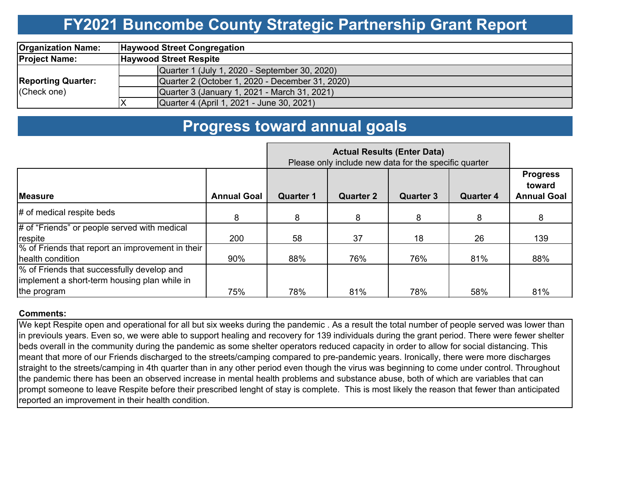### **FY2021 Buncombe County Strategic Partnership Grant Report**

| <b>Organization Name:</b>                | <b>Haywood Street Congregation</b>              |  |  |  |  |  |  |
|------------------------------------------|-------------------------------------------------|--|--|--|--|--|--|
| <b>Project Name:</b>                     | <b>Haywood Street Respite</b>                   |  |  |  |  |  |  |
| <b>Reporting Quarter:</b><br>(Check one) | Quarter 1 (July 1, 2020 - September 30, 2020)   |  |  |  |  |  |  |
|                                          | Quarter 2 (October 1, 2020 - December 31, 2020) |  |  |  |  |  |  |
|                                          | Quarter 3 (January 1, 2021 - March 31, 2021)    |  |  |  |  |  |  |
|                                          | Quarter 4 (April 1, 2021 - June 30, 2021)       |  |  |  |  |  |  |

### **Progress toward annual goals**

|                                                                                                           | Please only include new data for the specific quarter |                  |                  |                  |                  |                                                 |
|-----------------------------------------------------------------------------------------------------------|-------------------------------------------------------|------------------|------------------|------------------|------------------|-------------------------------------------------|
| <b>Measure</b>                                                                                            | <b>Annual Goal</b>                                    | <b>Quarter 1</b> | <b>Quarter 2</b> | <b>Quarter 3</b> | <b>Quarter 4</b> | <b>Progress</b><br>toward<br><b>Annual Goal</b> |
| $#$ of medical respite beds                                                                               | 8                                                     | 8                | 8                | 8                | 8                | 8                                               |
| # of "Friends" or people served with medical<br>respite                                                   | 200                                                   | 58               | 37               | 18               | 26               | 139                                             |
| % of Friends that report an improvement in their<br>health condition                                      | 90%                                                   | 88%              | 76%              | 76%              | 81%              | 88%                                             |
| % of Friends that successfully develop and<br>implement a short-term housing plan while in<br>the program | 75%                                                   | 78%              | 81%              | 78%              | 58%              | 81%                                             |

#### **Comments:**

We kept Respite open and operational for all but six weeks during the pandemic . As a result the total number of people served was lower than in previouls years. Even so, we were able to support healing and recovery for 139 individuals during the grant period. There were fewer shelter beds overall in the community during the pandemic as some shelter operators reduced capacity in order to allow for social distancing. This meant that more of our Friends discharged to the streets/camping compared to pre-pandemic years. Ironically, there were more discharges straight to the streets/camping in 4th quarter than in any other period even though the virus was beginning to come under control. Throughout the pandemic there has been an observed increase in mental health problems and substance abuse, both of which are variables that can prompt someone to leave Respite before their prescribed lenght of stay is complete. This is most likely the reason that fewer than anticipated reported an improvement in their health condition.